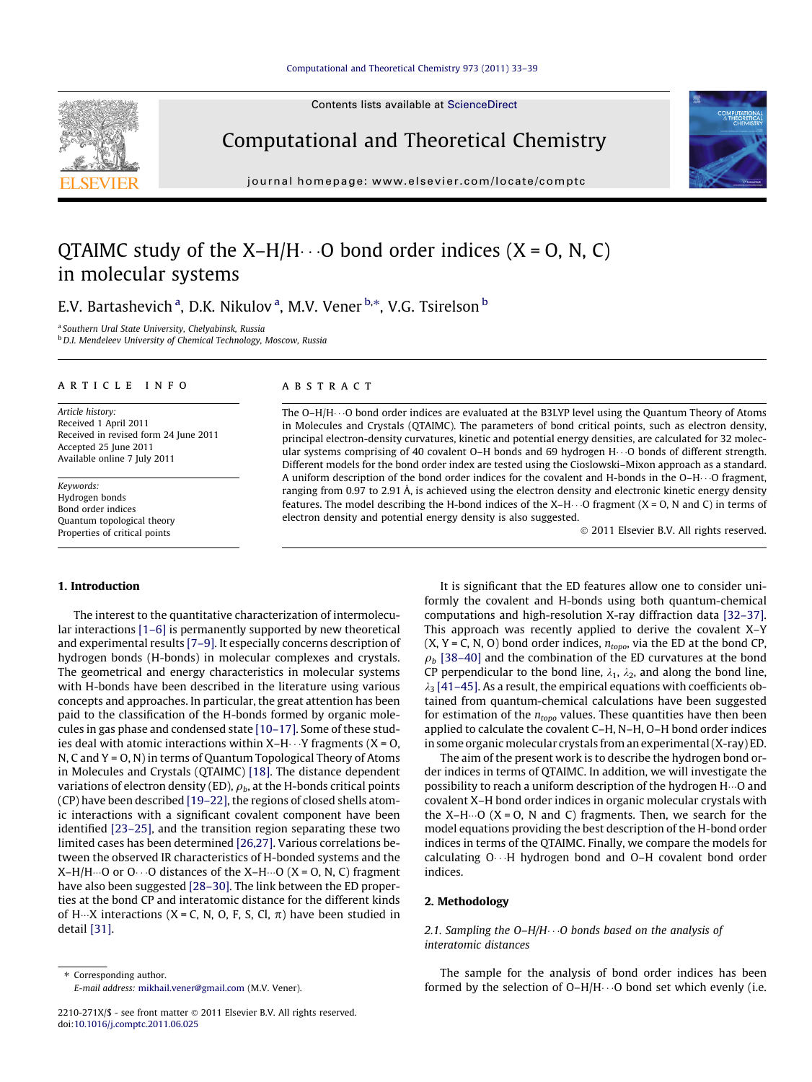# [Computational and Theoretical Chemistry 973 \(2011\) 33–39](http://dx.doi.org/10.1016/j.comptc.2011.06.025)

Contents lists available at [ScienceDirect](http://www.sciencedirect.com/science/journal/2210271X)



Computational and Theoretical Chemistry

journal homepage: [www.elsevier.com/locate/comptc](http://www.elsevier.com/locate/comptc)



# QTAIMC study of the X–H/H $\cdots$ O bond order indices (X = O, N, C) in molecular systems

E.V. Bartashevich <sup>a</sup>, D.K. Nikulov <sup>a</sup>, M.V. Vener <sup>b,</sup>\*, V.G. Tsirelson <sup>b</sup>

<sup>a</sup> Southern Ural State University, Chelyabinsk, Russia

b D.I. Mendeleev University of Chemical Technology, Moscow, Russia

#### article info

Article history: Received 1 April 2011 Received in revised form 24 June 2011 Accepted 25 June 2011 Available online 7 July 2011

Keywords: Hydrogen bonds Bond order indices Quantum topological theory Properties of critical points

## ABSTRACT

The O–H/H $\cdots$ O bond order indices are evaluated at the B3LYP level using the Quantum Theory of Atoms in Molecules and Crystals (QTAIMC). The parameters of bond critical points, such as electron density, principal electron-density curvatures, kinetic and potential energy densities, are calculated for 32 molecular systems comprising of 40 covalent O–H bonds and 69 hydrogen H $\cdots$ O bonds of different strength. Different models for the bond order index are tested using the Cioslowski–Mixon approach as a standard. A uniform description of the bond order indices for the covalent and H-bonds in the O–H $\cdots$ O fragment, ranging from 0.97 to 2.91 Å, is achieved using the electron density and electronic kinetic energy density features. The model describing the H-bond indices of the X–H $\cdots$ O fragment (X = O, N and C) in terms of electron density and potential energy density is also suggested.

- 2011 Elsevier B.V. All rights reserved.

# 1. Introduction

The interest to the quantitative characterization of intermolecular interactions [\[1–6\]](#page-6-0) is permanently supported by new theoretical and experimental results [\[7–9\]](#page-6-0). It especially concerns description of hydrogen bonds (H-bonds) in molecular complexes and crystals. The geometrical and energy characteristics in molecular systems with H-bonds have been described in the literature using various concepts and approaches. In particular, the great attention has been paid to the classification of the H-bonds formed by organic molecules in gas phase and condensed state [\[10–17\]](#page-6-0). Some of these studies deal with atomic interactions within X–H $\cdots$ Y fragments (X = O, N, C and Y = O, N) in terms of Quantum Topological Theory of Atoms in Molecules and Crystals (QTAIMC) [\[18\]](#page-6-0). The distance dependent variations of electron density (ED),  $\rho_b$ , at the H-bonds critical points (CP) have been described [\[19–22\],](#page-6-0) the regions of closed shells atomic interactions with a significant covalent component have been identified [\[23–25\]](#page-6-0), and the transition region separating these two limited cases has been determined [\[26,27\]](#page-6-0). Various correlations between the observed IR characteristics of H-bonded systems and the X–H/H…O or O $\cdots$ O distances of the X–H…O (X = O, N, C) fragment have also been suggested [28-30]. The link between the ED properties at the bond CP and interatomic distance for the different kinds of H $\cdots$ X interactions (X = C, N, O, F, S, Cl,  $\pi$ ) have been studied in detail [\[31\].](#page-6-0)

It is significant that the ED features allow one to consider uniformly the covalent and H-bonds using both quantum-chemical computations and high-resolution X-ray diffraction data [\[32–37\].](#page-6-0) This approach was recently applied to derive the covalent X–Y  $(X, Y = C, N, O)$  bond order indices,  $n_{topo}$ , via the ED at the bond CP,  $\rho_b$  [\[38–40\]](#page-6-0) and the combination of the ED curvatures at the bond CP perpendicular to the bond line,  $\lambda_1$ ,  $\lambda_2$ , and along the bond line,  $\lambda_3$  [\[41–45\].](#page-6-0) As a result, the empirical equations with coefficients obtained from quantum-chemical calculations have been suggested for estimation of the  $n_{topo}$  values. These quantities have then been applied to calculate the covalent C–H, N–H, O–H bond order indices in some organic molecular crystals from an experimental (X-ray) ED.

The aim of the present work is to describe the hydrogen bond order indices in terms of QTAIMC. In addition, we will investigate the possibility to reach a uniform description of the hydrogen H $\cdots$ O and covalent X–H bond order indices in organic molecular crystals with the X–H $\cdots$ O (X = O, N and C) fragments. Then, we search for the model equations providing the best description of the H-bond order indices in terms of the QTAIMC. Finally, we compare the models for calculating O---H hydrogen bond and O–H covalent bond order indices.

## 2. Methodology

# 2.1. Sampling the O–H/H $\cdots$ O bonds based on the analysis of interatomic distances

The sample for the analysis of bond order indices has been formed by the selection of  $O-H/H \cdots O$  bond set which evenly (i.e.

<sup>\*</sup> Corresponding author. E-mail address: [mikhail.vener@gmail.com](mailto:mikhail.vener@gmail.com) (M.V. Vener).

<sup>2210-271</sup>X/\$ - see front matter © 2011 Elsevier B.V. All rights reserved. doi[:10.1016/j.comptc.2011.06.025](http://dx.doi.org/10.1016/j.comptc.2011.06.025)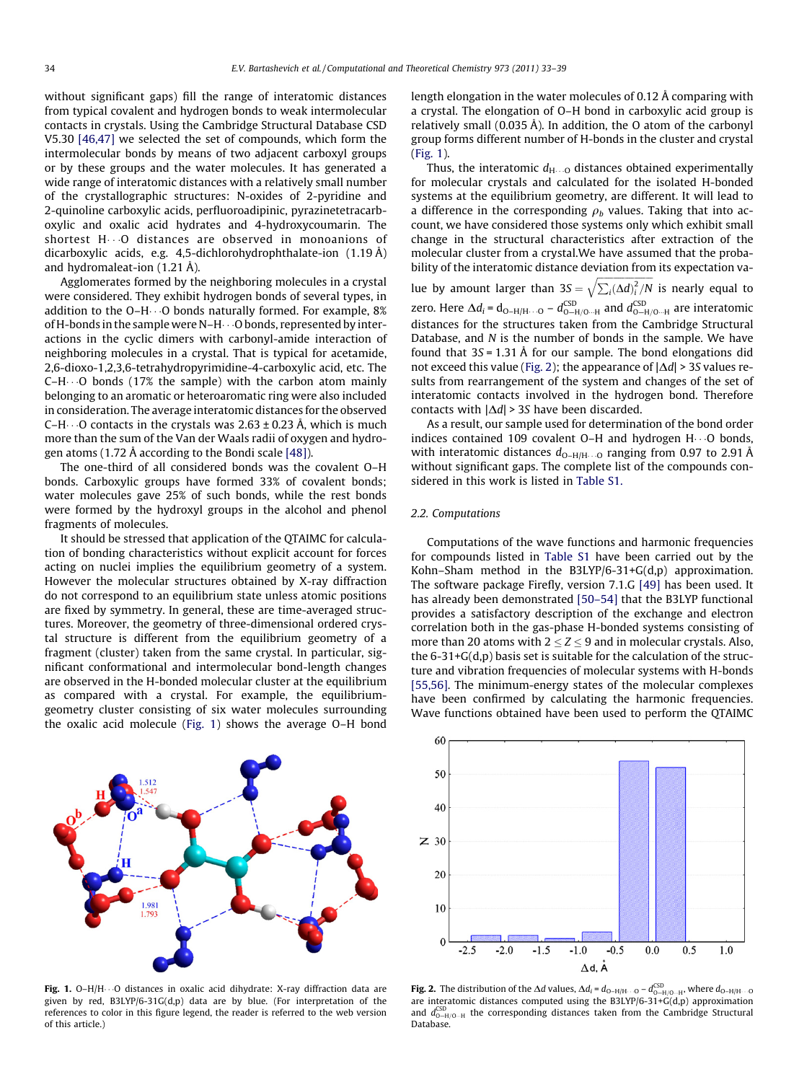without significant gaps) fill the range of interatomic distances from typical covalent and hydrogen bonds to weak intermolecular contacts in crystals. Using the Cambridge Structural Database CSD V5.30 [\[46,47\]](#page-6-0) we selected the set of compounds, which form the intermolecular bonds by means of two adjacent carboxyl groups or by these groups and the water molecules. It has generated a wide range of interatomic distances with a relatively small number of the crystallographic structures: N-oxides of 2-pyridine and 2-quinoline carboxylic acids, perfluoroadipinic, pyrazinetetracarboxylic and oxalic acid hydrates and 4-hydroxycoumarin. The shortest H---O distances are observed in monoanions of dicarboxylic acids, e.g. 4,5-dichlorohydrophthalate-ion (1.19 Å) and hydromaleat-ion (1.21 Å).

Agglomerates formed by the neighboring molecules in a crystal were considered. They exhibit hydrogen bonds of several types, in addition to the O–H $\cdots$ O bonds naturally formed. For example, 8% of H-bonds in the sample were N–H $\cdots$ O bonds, represented by interactions in the cyclic dimers with carbonyl-amide interaction of neighboring molecules in a crystal. That is typical for acetamide, 2,6-dioxo-1,2,3,6-tetrahydropyrimidine-4-carboxylic acid, etc. The C–H---O bonds (17% the sample) with the carbon atom mainly belonging to an aromatic or heteroaromatic ring were also included in consideration. The average interatomic distances for the observed C–H $\cdots$ O contacts in the crystals was 2.63 ± 0.23 Å, which is much more than the sum of the Van der Waals radii of oxygen and hydrogen atoms (1.72 Å according to the Bondi scale [\[48\]](#page-6-0)).

The one-third of all considered bonds was the covalent O–H bonds. Carboxylic groups have formed 33% of covalent bonds; water molecules gave 25% of such bonds, while the rest bonds were formed by the hydroxyl groups in the alcohol and phenol fragments of molecules.

It should be stressed that application of the QTAIMC for calculation of bonding characteristics without explicit account for forces acting on nuclei implies the equilibrium geometry of a system. However the molecular structures obtained by X-ray diffraction do not correspond to an equilibrium state unless atomic positions are fixed by symmetry. In general, these are time-averaged structures. Moreover, the geometry of three-dimensional ordered crystal structure is different from the equilibrium geometry of a fragment (cluster) taken from the same crystal. In particular, significant conformational and intermolecular bond-length changes are observed in the H-bonded molecular cluster at the equilibrium as compared with a crystal. For example, the equilibriumgeometry cluster consisting of six water molecules surrounding the oxalic acid molecule (Fig. 1) shows the average O–H bond



Fig. 1. O–H/H---O distances in oxalic acid dihydrate: X-ray diffraction data are given by red, B3LYP/6-31G(d,p) data are by blue. (For interpretation of the references to color in this figure legend, the reader is referred to the web version of this article.)

length elongation in the water molecules of 0.12 Å comparing with a crystal. The elongation of O–H bond in carboxylic acid group is relatively small (0.035 Å). In addition, the O atom of the carbonyl group forms different number of H-bonds in the cluster and crystal (Fig. 1).

Thus, the interatomic  $d_{\rm H\cdots O}$  distances obtained experimentally for molecular crystals and calculated for the isolated H-bonded systems at the equilibrium geometry, are different. It will lead to a difference in the corresponding  $\rho_b$  values. Taking that into account, we have considered those systems only which exhibit small change in the structural characteristics after extraction of the molecular cluster from a crystal.We have assumed that the probability of the interatomic distance deviation from its expectation va-

lue by amount larger than  $3S = \sqrt{\sum_i (\Delta d)_i^2/N}$  is nearly equal to zero. Here  $\Delta d_i$  =  $d_{O-H/H\cdots O} - d_{O-H/O\cdots H}^{CSD}$  and  $d_{O-H/O\cdots H}^{CSD}$  are interatomic distances for the structures taken from the Cambridge Structural Database, and N is the number of bonds in the sample. We have found that  $3S = 1.31$  Å for our sample. The bond elongations did not exceed this value (Fig. 2); the appearance of  $|\Delta d| > 3S$  values results from rearrangement of the system and changes of the set of interatomic contacts involved in the hydrogen bond. Therefore contacts with  $|\Delta d| > 3S$  have been discarded.

As a result, our sample used for determination of the bond order indices contained 109 covalent  $O-H$  and hydrogen  $H \cdots O$  bonds, with interatomic distances  $d_{O-H/H\cdots O}$  ranging from 0.97 to 2.91 A without significant gaps. The complete list of the compounds considered in this work is listed in Table S1.

#### 2.2. Computations

Computations of the wave functions and harmonic frequencies for compounds listed in Table S1 have been carried out by the Kohn–Sham method in the B3LYP/6-31+G(d,p) approximation. The software package Firefly, version 7.1.G [\[49\]](#page-6-0) has been used. It has already been demonstrated [\[50–54\]](#page-6-0) that the B3LYP functional provides a satisfactory description of the exchange and electron correlation both in the gas-phase H-bonded systems consisting of more than 20 atoms with  $2 \le Z \le 9$  and in molecular crystals. Also, the 6-31+G(d,p) basis set is suitable for the calculation of the structure and vibration frequencies of molecular systems with H-bonds [\[55,56\].](#page-6-0) The minimum-energy states of the molecular complexes have been confirmed by calculating the harmonic frequencies. Wave functions obtained have been used to perform the QTAIMC



**Fig. 2.** The distribution of the  $\Delta d$  values,  $\Delta d_i = d_{\text{O-H/H}\cdots\text{O}} - d_{\text{O-H/O}\cdots\text{H}}^{\text{CSD}}$ , where  $d_{\text{O-H/H}\cdots\text{O}}$ are interatomic distances computed using the B3LYP/6-31+G(d,p) approximation and  $d_{\text{O-H/O--H}}^{\text{CSD}}$  the corresponding distances taken from the Cambridge Structural Database.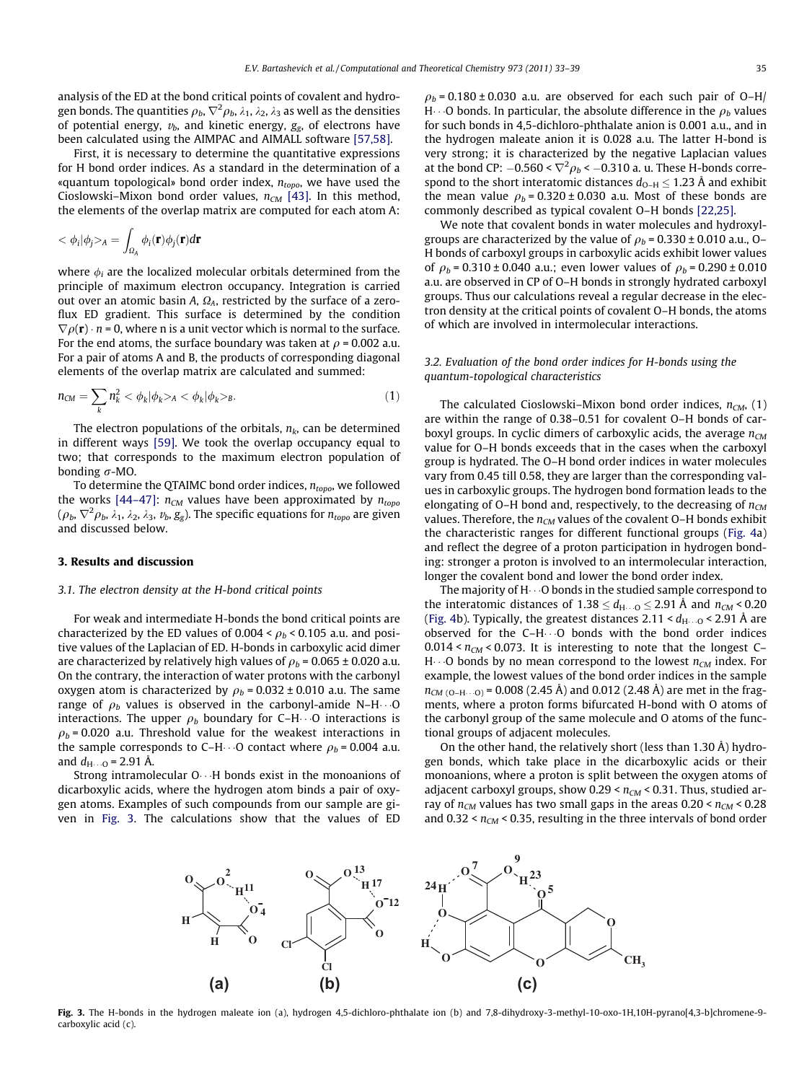analysis of the ED at the bond critical points of covalent and hydrogen bonds. The quantities  $\rho_b$ ,  $\nabla^2\rho_b$ ,  $\lambda_1$ ,  $\lambda_2$ ,  $\lambda_3$  as well as the densities of potential energy,  $v<sub>b</sub>$ , and kinetic energy,  $g<sub>e</sub>$ , of electrons have been calculated using the AIMPAC and AIMALL software [\[57,58\]](#page-6-0).

First, it is necessary to determine the quantitative expressions for H bond order indices. As a standard in the determination of a «quantum topological» bond order index,  $n_{topo}$ , we have used the Cioslowski–Mixon bond order values,  $n_{CM}$  [\[43\].](#page-6-0) In this method, the elements of the overlap matrix are computed for each atom A:

$$
\langle \phi_i | \phi_j \rangle_A = \int_{\Omega_A} \phi_i(\mathbf{r}) \phi_j(\mathbf{r}) d\mathbf{r}
$$

where  $\phi_i$  are the localized molecular orbitals determined from the principle of maximum electron occupancy. Integration is carried out over an atomic basin A,  $\Omega_A$ , restricted by the surface of a zeroflux ED gradient. This surface is determined by the condition  $\nabla \rho(\mathbf{r}) \cdot n$  = 0, where n is a unit vector which is normal to the surface. For the end atoms, the surface boundary was taken at  $\rho$  = 0.002 a.u. For a pair of atoms A and B, the products of corresponding diagonal elements of the overlap matrix are calculated and summed:

$$
n_{CM} = \sum_{k} n_k^2 < \phi_k | \phi_k > A < \phi_k | \phi_k > B. \tag{1}
$$

The electron populations of the orbitals,  $n_k$ , can be determined in different ways [\[59\]](#page-6-0). We took the overlap occupancy equal to two; that corresponds to the maximum electron population of bonding  $\sigma$ -MO.

To determine the QTAIMC bond order indices,  $n_{topo}$ , we followed the works [\[44–47\]:](#page-6-0)  $n_{CM}$  values have been approximated by  $n_{topo}$  $(\rho_b, \nabla^2 \rho_b,$   $\lambda_1,$   $\lambda_2,$   $\lambda_3,$   $v_b,$   $g_g$ ). The specific equations for  $n_{topo}$  are given and discussed below.

#### 3. Results and discussion

#### 3.1. The electron density at the H-bond critical points

For weak and intermediate H-bonds the bond critical points are characterized by the ED values of  $0.004 < \rho_b < 0.105$  a.u. and positive values of the Laplacian of ED. H-bonds in carboxylic acid dimer are characterized by relatively high values of  $\rho_b$  = 0.065 ± 0.020 a.u. On the contrary, the interaction of water protons with the carbonyl oxygen atom is characterized by  $\rho_b$  = 0.032 ± 0.010 a.u. The same range of  $\rho_b$  values is observed in the carbonyl-amide N–H $\cdots$ O interactions. The upper  $\rho_b$  boundary for C–H $\cdots$ O interactions is  $\rho_b$  = 0.020 a.u. Threshold value for the weakest interactions in the sample corresponds to C–H $\cdots$ O contact where  $\rho_b$  = 0.004 a.u. and  $d_{\rm H \cdots 0}$  = 2.91 Å.

Strong intramolecular O---H bonds exist in the monoanions of dicarboxylic acids, where the hydrogen atom binds a pair of oxygen atoms. Examples of such compounds from our sample are given in Fig. 3. The calculations show that the values of ED  $\rho_b$  = 0.180 ± 0.030 a.u. are observed for each such pair of O–H/ H $\cdots$ O bonds. In particular, the absolute difference in the  $\rho_b$  values for such bonds in 4,5-dichloro-phthalate anion is 0.001 a.u., and in the hydrogen maleate anion it is 0.028 a.u. The latter H-bond is very strong; it is characterized by the negative Laplacian values at the bond CP:  $-0.560 < \nabla^2 \rho_b < -0.310$  a. u. These H-bonds correspond to the short interatomic distances  $d_{O-H} \leq 1.23$  Å and exhibit the mean value  $\rho_b = 0.320 \pm 0.030$  a.u. Most of these bonds are commonly described as typical covalent O–H bonds [\[22,25\]](#page-6-0).

We note that covalent bonds in water molecules and hydroxylgroups are characterized by the value of  $\rho_b$  = 0.330 ± 0.010 a.u., O– H bonds of carboxyl groups in carboxylic acids exhibit lower values of  $\rho_b$  = 0.310 ± 0.040 a.u.; even lower values of  $\rho_b$  = 0.290 ± 0.010 a.u. are observed in CP of O–H bonds in strongly hydrated carboxyl groups. Thus our calculations reveal a regular decrease in the electron density at the critical points of covalent O–H bonds, the atoms of which are involved in intermolecular interactions.

# 3.2. Evaluation of the bond order indices for H-bonds using the quantum-topological characteristics

The calculated Cioslowski–Mixon bond order indices,  $n_{CM}$ , (1) are within the range of 0.38–0.51 for covalent O–H bonds of carboxyl groups. In cyclic dimers of carboxylic acids, the average  $n_{CM}$ value for O–H bonds exceeds that in the cases when the carboxyl group is hydrated. The O–H bond order indices in water molecules vary from 0.45 till 0.58, they are larger than the corresponding values in carboxylic groups. The hydrogen bond formation leads to the elongating of O–H bond and, respectively, to the decreasing of  $n_{CM}$ values. Therefore, the  $n_{CM}$  values of the covalent O–H bonds exhibit the characteristic ranges for different functional groups [\(Fig. 4](#page-3-0)a) and reflect the degree of a proton participation in hydrogen bonding: stronger a proton is involved to an intermolecular interaction, longer the covalent bond and lower the bond order index.

The majority of H $\cdots$ O bonds in the studied sample correspond to the interatomic distances of  $1.38 \le d_{\rm H_2 \cdots Q} \le 2.91$  Å and  $n_{\rm CM}$  < 0.20 ([Fig. 4b](#page-3-0)). Typically, the greatest distances 2.11 <  $d_{\rm H\cdots O}$  < 2.91 Å are observed for the  $C-H\cdots O$  bonds with the bond order indices  $0.014 < n<sub>CM</sub> < 0.073$ . It is interesting to note that the longest C– H $\cdots$ O bonds by no mean correspond to the lowest  $n_{\mathsf{CM}}$  index. For example, the lowest values of the bond order indices in the sample  $n_{CM\ (O-H\cdots O)}$  = 0.008 (2.45 A) and 0.012 (2.48 A) are met in the fragments, where a proton forms bifurcated H-bond with O atoms of the carbonyl group of the same molecule and O atoms of the functional groups of adjacent molecules.

On the other hand, the relatively short (less than 1.30 Å) hydrogen bonds, which take place in the dicarboxylic acids or their monoanions, where a proton is split between the oxygen atoms of adjacent carboxyl groups, show  $0.29 < n_{CM} < 0.31$ . Thus, studied array of  $n_{CM}$  values has two small gaps in the areas  $0.20 < n_{CM} < 0.28$ and 0.32 <  $n_{CM}$  < 0.35, resulting in the three intervals of bond order



Fig. 3. The H-bonds in the hydrogen maleate ion (a), hydrogen 4,5-dichloro-phthalate ion (b) and 7,8-dihydroxy-3-methyl-10-oxo-1H,10H-pyrano[4,3-b]chromene-9 carboxylic acid (c).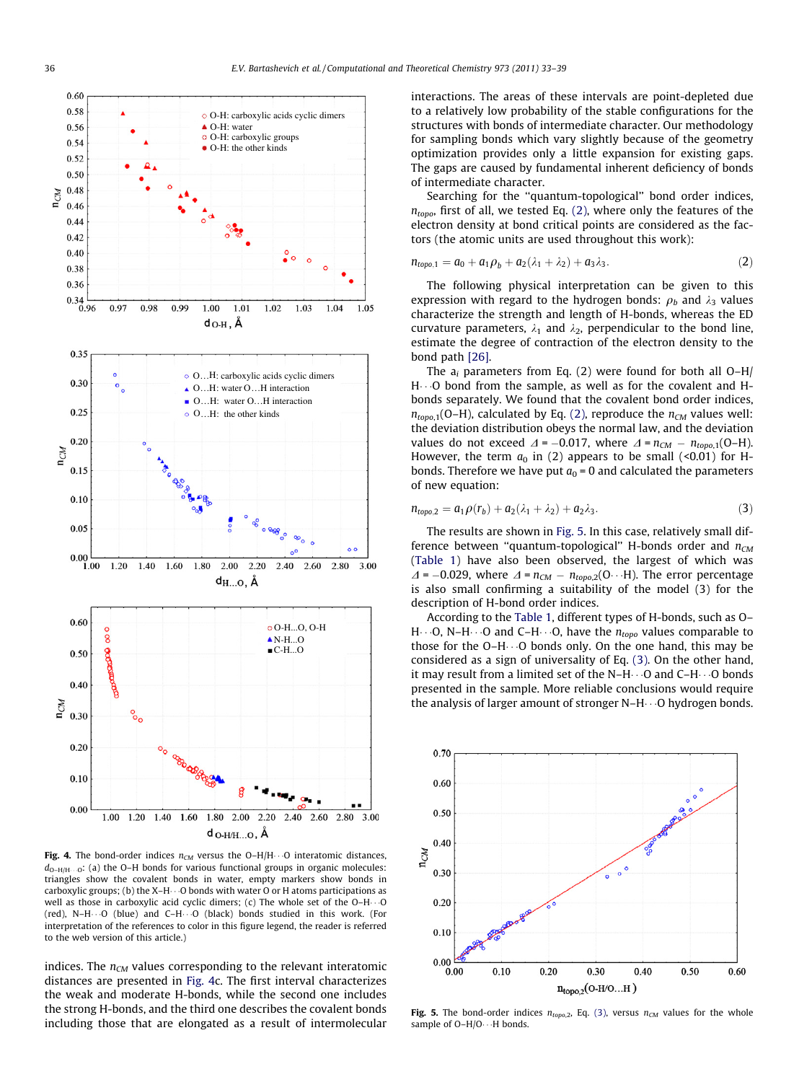<span id="page-3-0"></span>

**Fig. 4.** The bond-order indices  $n_{CM}$  versus the O–H/H $\cdot$  O interatomic distances,  $d_{\text{O-H/H}\cdots}$  (a) the O–H bonds for various functional groups in organic molecules: triangles show the covalent bonds in water, empty markers show bonds in carboxylic groups; (b) the X–H $\cdots$ O bonds with water O or H atoms participations as well as those in carboxylic acid cyclic dimers; (c) The whole set of the O–H $\cdots$ O (red), N–H---O (blue) and C–H---O (black) bonds studied in this work. (For interpretation of the references to color in this figure legend, the reader is referred to the web version of this article.)

indices. The  $n_{CM}$  values corresponding to the relevant interatomic distances are presented in Fig. 4c. The first interval characterizes the weak and moderate H-bonds, while the second one includes the strong H-bonds, and the third one describes the covalent bonds including those that are elongated as a result of intermolecular interactions. The areas of these intervals are point-depleted due to a relatively low probability of the stable configurations for the structures with bonds of intermediate character. Our methodology for sampling bonds which vary slightly because of the geometry optimization provides only a little expansion for existing gaps. The gaps are caused by fundamental inherent deficiency of bonds of intermediate character.

Searching for the ''quantum-topological'' bond order indices,  $n_{topo}$ , first of all, we tested Eq. (2), where only the features of the electron density at bond critical points are considered as the factors (the atomic units are used throughout this work):

$$
n_{topo,1} = a_0 + a_1 \rho_b + a_2(\lambda_1 + \lambda_2) + a_3 \lambda_3. \tag{2}
$$

The following physical interpretation can be given to this expression with regard to the hydrogen bonds:  $\rho_b$  and  $\lambda_3$  values characterize the strength and length of H-bonds, whereas the ED curvature parameters,  $\lambda_1$  and  $\lambda_2$ , perpendicular to the bond line, estimate the degree of contraction of the electron density to the bond path [\[26\].](#page-6-0)

The  $a_i$  parameters from Eq. (2) were found for both all  $O-H/$  $H \cdots$ O bond from the sample, as well as for the covalent and  $H$ bonds separately. We found that the covalent bond order indices,  $n_{\text{top0}}(O-H)$ , calculated by Eq. (2), reproduce the  $n_{CM}$  values well: the deviation distribution obeys the normal law, and the deviation values do not exceed  $\Delta$  = -0.017, where  $\Delta$  =  $n_{CM}$  -  $n_{top0,1}(O-H)$ . However, the term  $a_0$  in (2) appears to be small (<0.01) for Hbonds. Therefore we have put  $a_0 = 0$  and calculated the parameters of new equation:

$$
n_{topo,2} = a_1 \rho(r_b) + a_2(\lambda_1 + \lambda_2) + a_2 \lambda_3. \tag{3}
$$

The results are shown in Fig. 5. In this case, relatively small difference between "quantum-topological" H-bonds order and  $n_{CM}$ ([Table 1\)](#page-4-0) have also been observed, the largest of which was  $\Delta$  = -0.029, where  $\Delta$  =  $n_{CM}$  -  $n_{topo,2}(O\cdots H)$ . The error percentage is also small confirming a suitability of the model (3) for the description of H-bond order indices.

According to the [Table 1](#page-4-0), different types of H-bonds, such as O–  $H \cdots$ O, N–H $\cdots$ O and C–H $\cdots$ O, have the  $n_{topo}$  values comparable to those for the  $O-H \cdots O$  bonds only. On the one hand, this may be considered as a sign of universality of Eq. (3). On the other hand, it may result from a limited set of the  $N-H\cdots O$  and  $C-H\cdots O$  bonds presented in the sample. More reliable conclusions would require the analysis of larger amount of stronger N–H---O hydrogen bonds.



Fig. 5. The bond-order indices  $n_{topo,2}$ , Eq. (3), versus  $n_{CM}$  values for the whole sample of  $O-H/O \cdots H$  bonds.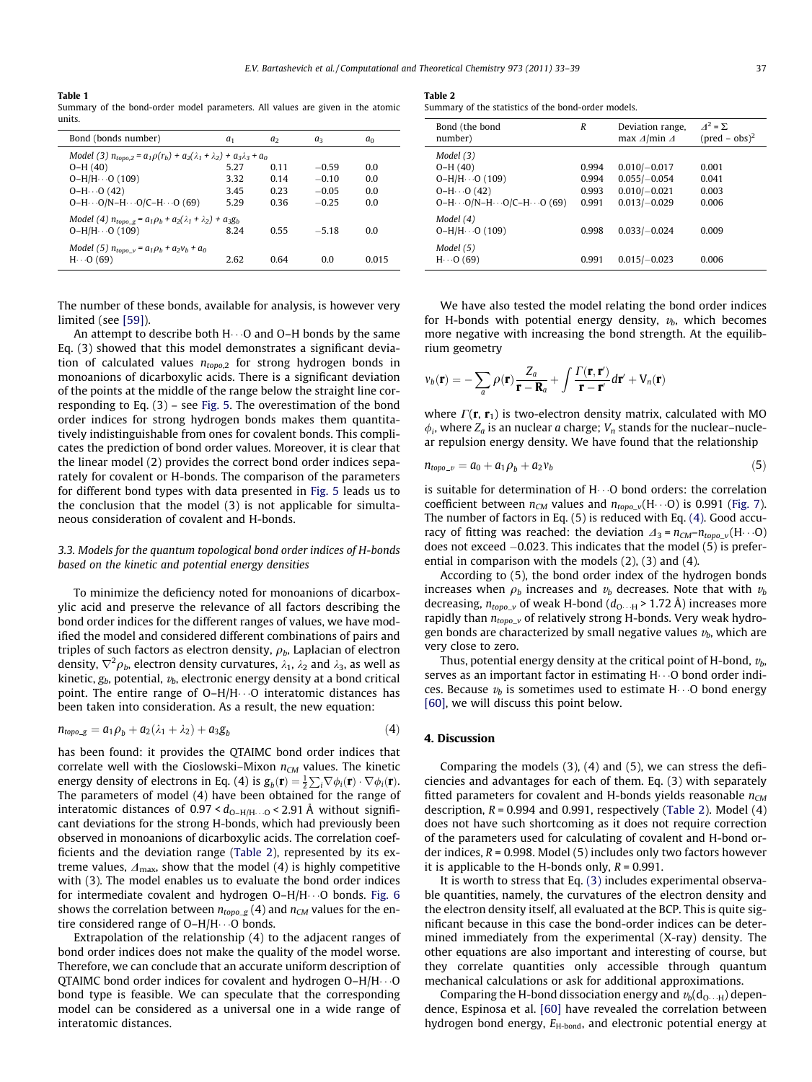#### <span id="page-4-0"></span>Table 1

Summary of the bond-order model parameters. All values are given in the atomic units.

| Bond (bonds number)                                                                                                                 | a <sub>1</sub> | a <sub>2</sub> | aз      | $a_0$ |  |
|-------------------------------------------------------------------------------------------------------------------------------------|----------------|----------------|---------|-------|--|
| Model (3) $n_{tomo,2} = a_1 \rho(r_b) + a_2(\lambda_1 + \lambda_2) + a_3 \lambda_3 + a_0$                                           |                |                |         |       |  |
| $O-H(40)$                                                                                                                           | 5.27           | 0.11           | $-0.59$ | 0.0   |  |
| $O-H/H \cdots O(109)$                                                                                                               | 3.32           | 0.14           | $-0.10$ | 0.0   |  |
| $O-H \cdots O(42)$                                                                                                                  | 3.45           | 0.23           | $-0.05$ | 0.0   |  |
| $O-H \cdots O/N-H \cdots O/C-H \cdots O$ (69)                                                                                       | 5.29           | 0.36           | $-0.25$ | 0.0   |  |
| Model (4) $n_{topo} = a_1 \rho_b + a_2 (\lambda_1 + \lambda_2) + a_3 g_b$<br>$O-H/H \cdots O(109)$<br>8.24<br>0.55<br>$-518$<br>0.0 |                |                |         |       |  |
| Model (5) $n_{topo_v} = a_1 \rho_b + a_2 v_b + a_0$<br>$H \cdot \cdot 0$ (69)                                                       | 2.62           | 0.64           | 0.0     | 0.015 |  |

The number of these bonds, available for analysis, is however very limited (see [\[59\]\)](#page-6-0).

An attempt to describe both H---O and O–H bonds by the same Eq. (3) showed that this model demonstrates a significant deviation of calculated values  $n_{topo,2}$  for strong hydrogen bonds in monoanions of dicarboxylic acids. There is a significant deviation of the points at the middle of the range below the straight line corresponding to Eq. (3) – see [Fig. 5](#page-3-0). The overestimation of the bond order indices for strong hydrogen bonds makes them quantitatively indistinguishable from ones for covalent bonds. This complicates the prediction of bond order values. Moreover, it is clear that the linear model (2) provides the correct bond order indices separately for covalent or H-bonds. The comparison of the parameters for different bond types with data presented in [Fig. 5](#page-3-0) leads us to the conclusion that the model (3) is not applicable for simultaneous consideration of covalent and H-bonds.

# 3.3. Models for the quantum topological bond order indices of H-bonds based on the kinetic and potential energy densities

To minimize the deficiency noted for monoanions of dicarboxylic acid and preserve the relevance of all factors describing the bond order indices for the different ranges of values, we have modified the model and considered different combinations of pairs and triples of such factors as electron density,  $\rho_b$ , Laplacian of electron density,  $\nabla^2\rho_{b}$ , electron density curvatures,  $\lambda_1$ ,  $\lambda_2$  and  $\lambda_3$ , as well as kinetic,  $g_b$ , potential,  $v_b$ , electronic energy density at a bond critical point. The entire range of O–H/H---O interatomic distances has been taken into consideration. As a result, the new equation:

$$
n_{topo\_g} = a_1 \rho_b + a_2(\lambda_1 + \lambda_2) + a_3 g_b \tag{4}
$$

has been found: it provides the QTAIMC bond order indices that correlate well with the Cioslowski-Mixon  $n_{CM}$  values. The kinetic energy density of electrons in Eq. (4) is  $g_b(\mathbf{r}) = \frac{1}{2} \sum_i \nabla \phi_i(\mathbf{r}) \cdot \nabla \phi_i(\mathbf{r})$ . The parameters of model (4) have been obtained for the range of interatomic distances of 0.97 <  $d_{\text{O-H/H}\cdots\text{O}}$  < 2.91 A without significant deviations for the strong H-bonds, which had previously been observed in monoanions of dicarboxylic acids. The correlation coefficients and the deviation range (Table 2), represented by its extreme values,  $\Delta_{\text{max}}$ , show that the model (4) is highly competitive with (3). The model enables us to evaluate the bond order indices for intermediate covalent and hydrogen O–H/H---O bonds. [Fig. 6](#page-5-0) shows the correlation between  $n_{topo\_g}(4)$  and  $n_{CM}$  values for the entire considered range of O–H/H $\cdots$ O bonds.

Extrapolation of the relationship (4) to the adjacent ranges of bond order indices does not make the quality of the model worse. Therefore, we can conclude that an accurate uniform description of QTAIMC bond order indices for covalent and hydrogen O–H/H $\cdots$ O bond type is feasible. We can speculate that the corresponding model can be considered as a universal one in a wide range of interatomic distances.

| Table 2 |  |
|---------|--|
|         |  |

Summary of the statistics of the bond-order models.

| Bond (the bond<br>number)                                                                                             | R                                | Deviation range,<br>max $\Delta$ /min $\Delta$                       | $A^2 = \Sigma$<br>$(pred - obs)^2$ |
|-----------------------------------------------------------------------------------------------------------------------|----------------------------------|----------------------------------------------------------------------|------------------------------------|
| Model (3)<br>$O-H(40)$<br>$O-H/H \cdots O(109)$<br>$O-H \cdots O(42)$<br>$O-H \cdots O/N-H \cdots O/C-H \cdots O(69)$ | 0.994<br>0.994<br>0.993<br>0.991 | $0.010/-0.017$<br>$0.055/-0.054$<br>$0.010/-0.021$<br>$0.013/-0.029$ | 0.001<br>0.041<br>0.003<br>0.006   |
| Model (4)<br>$O-H/H \cdots O(109)$<br>Model (5)                                                                       | 0.998                            | $0.033/-0.024$                                                       | 0.009                              |
| $H \cdot \cdot 0$ (69)                                                                                                | 0.991                            | $0.015/-0.023$                                                       | 0.006                              |

We have also tested the model relating the bond order indices for H-bonds with potential energy density,  $v<sub>b</sub>$ , which becomes more negative with increasing the bond strength. At the equilibrium geometry

$$
v_b(\mathbf{r}) = -\sum_a \rho(\mathbf{r}) \frac{Z_a}{\mathbf{r} - \mathbf{R}_a} + \int \frac{\Gamma(\mathbf{r}, \mathbf{r}')}{\mathbf{r} - \mathbf{r}'} d\mathbf{r}' + V_n(\mathbf{r})
$$

where  $\Gamma(\mathbf{r}, \mathbf{r}_1)$  is two-electron density matrix, calculated with MO  $\phi_i$ , where  $Z_a$  is an nuclear a charge;  $V_n$  stands for the nuclear–nuclear repulsion energy density. We have found that the relationship

$$
n_{topo-v} = a_0 + a_1 \rho_b + a_2 v_b \tag{5}
$$

is suitable for determination of  $H_0\cdot O$  bond orders: the correlation coefficient between  $n_{CM}$  values and  $n_{topo\_v}$ (H $\cdots$ O) is 0.991 [\(Fig. 7\)](#page-5-0). The number of factors in Eq. (5) is reduced with Eq. (4). Good accuracy of fitting was reached: the deviation  $\Delta_3 = n_{CM}-n_{topo_v}(H\cdots O)$ does not exceed  $-0.023$ . This indicates that the model (5) is preferential in comparison with the models (2), (3) and (4).

According to (5), the bond order index of the hydrogen bonds increases when  $\rho_b$  increases and  $v_b$  decreases. Note that with  $v_b$ decreasing,  $n_{topo\_v}$  of weak H-bond ( $d_{\rm O\cdots H}$  > 1.72 A) increases more rapidly than  $n_{topo_v}$  of relatively strong H-bonds. Very weak hydrogen bonds are characterized by small negative values  $v<sub>b</sub>$ , which are very close to zero.

Thus, potential energy density at the critical point of H-bond,  $v<sub>b</sub>$ , serves as an important factor in estimating  $H_1 \cdot G_1$  bond order indices. Because  $v_b$  is sometimes used to estimate  $H_1 \cdot Q_1$  bond energy [\[60\],](#page-6-0) we will discuss this point below.

#### 4. Discussion

Comparing the models (3), (4) and (5), we can stress the deficiencies and advantages for each of them. Eq. (3) with separately fitted parameters for covalent and H-bonds yields reasonable  $n_{CM}$ description,  $R = 0.994$  and 0.991, respectively (Table 2). Model (4) does not have such shortcoming as it does not require correction of the parameters used for calculating of covalent and H-bond order indices,  $R = 0.998$ . Model (5) includes only two factors however it is applicable to the H-bonds only,  $R = 0.991$ .

It is worth to stress that Eq. [\(3\)](#page-3-0) includes experimental observable quantities, namely, the curvatures of the electron density and the electron density itself, all evaluated at the BCP. This is quite significant because in this case the bond-order indices can be determined immediately from the experimental (X-ray) density. The other equations are also important and interesting of course, but they correlate quantities only accessible through quantum mechanical calculations or ask for additional approximations.

Comparing the H-bond dissociation energy and  $v_{b}$ (d<sub>O-H)</sub> dependence, Espinosa et al. [\[60\]](#page-6-0) have revealed the correlation between hydrogen bond energy,  $E_{\text{H-bond}}$ , and electronic potential energy at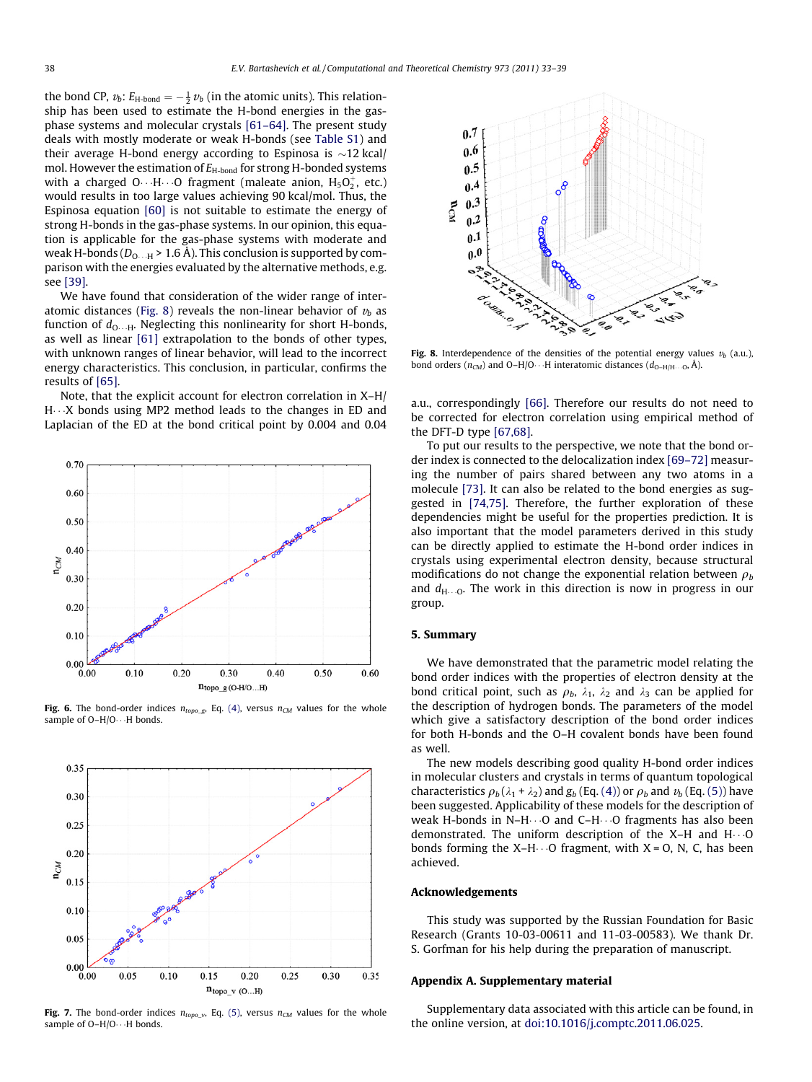<span id="page-5-0"></span>the bond CP,  $v_b$ :  $E_{\text{H-bond}} = -\frac{1}{2}v_b$  (in the atomic units). This relationship has been used to estimate the H-bond energies in the gasphase systems and molecular crystals [\[61–64\].](#page-6-0) The present study deals with mostly moderate or weak H-bonds (see Table S1) and their average H-bond energy according to Espinosa is  $\sim$ 12 kcal/ mol. However the estimation of  $E_{\text{H-bond}}$  for strong H-bonded systems with a charged O $\cdots$ H $\cdots$ O fragment (maleate anion, H $_5$ O $_2^+$ , etc.) would results in too large values achieving 90 kcal/mol. Thus, the Espinosa equation [\[60\]](#page-6-0) is not suitable to estimate the energy of strong H-bonds in the gas-phase systems. In our opinion, this equation is applicable for the gas-phase systems with moderate and weak H-bonds ( $D_{\rm O\cdots H}$  > 1.6 A). This conclusion is supported by comparison with the energies evaluated by the alternative methods, e.g. see [\[39\].](#page-6-0)

We have found that consideration of the wider range of interatomic distances (Fig. 8) reveals the non-linear behavior of  $v<sub>b</sub>$  as function of  $d_{\rm O\dots H}$ . Neglecting this nonlinearity for short H-bonds, as well as linear [\[61\]](#page-6-0) extrapolation to the bonds of other types, with unknown ranges of linear behavior, will lead to the incorrect energy characteristics. This conclusion, in particular, confirms the results of [\[65\]](#page-6-0).

Note, that the explicit account for electron correlation in X–H/ H---X bonds using MP2 method leads to the changes in ED and Laplacian of the ED at the bond critical point by 0.004 and 0.04



Fig. 6. The bond-order indices  $n_{topo\_g}$ , Eq. [\(4\)](#page-4-0), versus  $n_{CM}$  values for the whole sample of O–H/O $\cdots$ H bonds.



Fig. 7. The bond-order indices  $n_{topo_v}$ , Eq. [\(5\)](#page-4-0), versus  $n_{CM}$  values for the whole sample of O–H/O $\cdots$ H bonds.



Fig. 8. Interdependence of the densities of the potential energy values  $v_b$  (a.u.), bond orders ( $n_{CM}$ ) and O–H/O $\cdots$ H interatomic distances ( $d_{O-H/H\cdots O}$ , Å).

a.u., correspondingly [\[66\]](#page-6-0). Therefore our results do not need to be corrected for electron correlation using empirical method of the DFT-D type [\[67,68\]](#page-6-0).

To put our results to the perspective, we note that the bond order index is connected to the delocalization index [\[69–72\]](#page-6-0) measuring the number of pairs shared between any two atoms in a molecule [\[73\].](#page-6-0) It can also be related to the bond energies as suggested in [\[74,75\]](#page-6-0). Therefore, the further exploration of these dependencies might be useful for the properties prediction. It is also important that the model parameters derived in this study can be directly applied to estimate the H-bond order indices in crystals using experimental electron density, because structural modifications do not change the exponential relation between  $\rho_b$ and  $d_{\text{H--O}}$ . The work in this direction is now in progress in our group.

# 5. Summary

We have demonstrated that the parametric model relating the bond order indices with the properties of electron density at the bond critical point, such as  $\rho_b$ ,  $\lambda_1$ ,  $\lambda_2$  and  $\lambda_3$  can be applied for the description of hydrogen bonds. The parameters of the model which give a satisfactory description of the bond order indices for both H-bonds and the O–H covalent bonds have been found as well.

The new models describing good quality H-bond order indices in molecular clusters and crystals in terms of quantum topological characteristics  $\rho_b (\lambda_1 + \lambda_2)$  and  $g_b$  (Eq. [\(4\)](#page-4-0)) or  $\rho_b$  and  $v_b$  (Eq. [\(5\)\)](#page-4-0) have been suggested. Applicability of these models for the description of weak H-bonds in N–H $\cdots$ O and C–H $\cdots$ O fragments has also been demonstrated. The uniform description of the X–H and  $H \cdot \cdot \cdot O$ bonds forming the  $X-H \cdots O$  fragment, with  $X = O$ , N, C, has been achieved.

#### Acknowledgements

This study was supported by the Russian Foundation for Basic Research (Grants 10-03-00611 and 11-03-00583). We thank Dr. S. Gorfman for his help during the preparation of manuscript.

# Appendix A. Supplementary material

Supplementary data associated with this article can be found, in the online version, at [doi:10.1016/j.comptc.2011.06.025.](http://dx.doi.org/10.1016/j.comptc.2011.06.025)